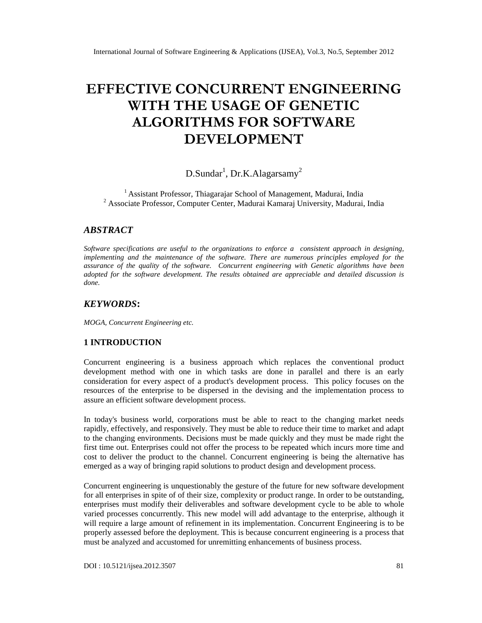# **EFFECTIVE CONCURRENT ENGINEERING WITH THE USAGE OF GENETIC ALGORITHMS FOR SOFTWARE DEVELOPMENT**

## D.Sundar<sup>1</sup>, Dr.K.Alagarsamy<sup>2</sup>

<sup>1</sup> Assistant Professor, Thiagarajar School of Management, Madurai, India <sup>2</sup> Associate Professor, Computer Center, Madurai Kamaraj University, Madurai, India

#### *ABSTRACT*

*Software specifications are useful to the organizations to enforce a consistent approach in designing, implementing and the maintenance of the software. There are numerous principles employed for the assurance of the quality of the software. Concurrent engineering with Genetic algorithms have been adopted for the software development. The results obtained are appreciable and detailed discussion is done.*

#### *KEYWORDS***:**

*MOGA, Concurrent Engineering etc.*

#### **1 INTRODUCTION**

Concurrent engineering is a business approach which replaces the conventional product development method with one in which tasks are done in parallel and there is an early consideration for every aspect of a product's development process. This policy focuses on the resources of the enterprise to be dispersed in the devising and the implementation process to assure an efficient software development process.

In today's business world, corporations must be able to react to the changing market needs rapidly, effectively, and responsively. They must be able to reduce their time to market and adapt to the changing environments. Decisions must be made quickly and they must be made right the first time out. Enterprises could not offer the process to be repeated which incurs more time and cost to deliver the product to the channel. Concurrent engineering is being the alternative has emerged as a way of bringing rapid solutions to product design and development process.

Concurrent engineering is unquestionably the gesture of the future for new software development for all enterprises in spite of of their size, complexity or product range. In order to be outstanding, enterprises must modify their deliverables and software development cycle to be able to whole varied processes concurrently. This new model will add advantage to the enterprise, although it will require a large amount of refinement in its implementation. Concurrent Engineering is to be properly assessed before the deployment. This is because concurrent engineering is a process that must be analyzed and accustomed for unremitting enhancements of business process.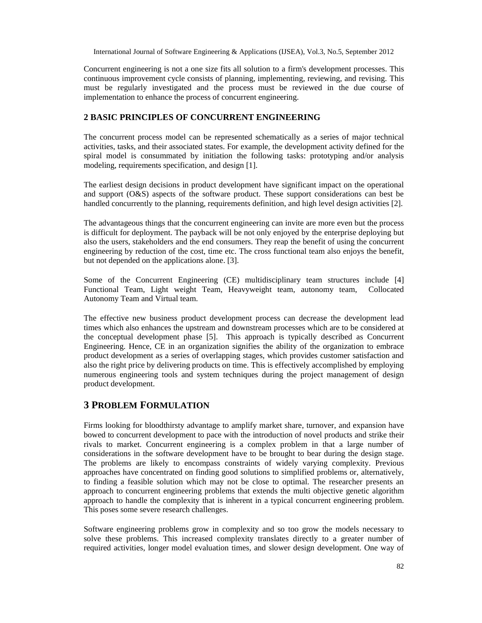Concurrent engineering is not a one size fits all solution to a firm's development processes. This continuous improvement cycle consists of planning, implementing, reviewing, and revising. This must be regularly investigated and the process must be reviewed in the due course of implementation to enhance the process of concurrent engineering.

### **2 BASIC PRINCIPLES OF CONCURRENT ENGINEERING**

The concurrent process model can be represented schematically as a series of major technical activities, tasks, and their associated states. For example, the development activity defined for the spiral model is consummated by initiation the following tasks: prototyping and/or analysis modeling, requirements specification, and design [1].

The earliest design decisions in product development have significant impact on the operational and support (O&S) aspects of the software product. These support considerations can best be handled concurrently to the planning, requirements definition, and high level design activities [2].

The advantageous things that the concurrent engineering can invite are more even but the process is difficult for deployment. The payback will be not only enjoyed by the enterprise deploying but also the users, stakeholders and the end consumers. They reap the benefit of using the concurrent engineering by reduction of the cost, time etc. The cross functional team also enjoys the benefit, but not depended on the applications alone. [3].

Some of the Concurrent Engineering (CE) multidisciplinary team structures include [4] Functional Team, Light weight Team, Heavyweight team, autonomy team, Collocated Autonomy Team and Virtual team.

The effective new business product development process can decrease the development lead times which also enhances the upstream and downstream processes which are to be considered at the conceptual development phase [5]. This approach is typically described as Concurrent Engineering. Hence, CE in an organization signifies the ability of the organization to embrace product development as a series of overlapping stages, which provides customer satisfaction and also the right price by delivering products on time. This is effectively accomplished by employing numerous engineering tools and system techniques during the project management of design product development.

### **3 PROBLEM FORMULATION**

Firms looking for bloodthirsty advantage to amplify market share, turnover, and expansion have bowed to concurrent development to pace with the introduction of novel products and strike their rivals to market. Concurrent engineering is a complex problem in that a large number of considerations in the software development have to be brought to bear during the design stage. The problems are likely to encompass constraints of widely varying complexity. Previous approaches have concentrated on finding good solutions to simplified problems or, alternatively, to finding a feasible solution which may not be close to optimal. The researcher presents an approach to concurrent engineering problems that extends the multi objective genetic algorithm approach to handle the complexity that is inherent in a typical concurrent engineering problem. This poses some severe research challenges.

Software engineering problems grow in complexity and so too grow the models necessary to solve these problems. This increased complexity translates directly to a greater number of required activities, longer model evaluation times, and slower design development. One way of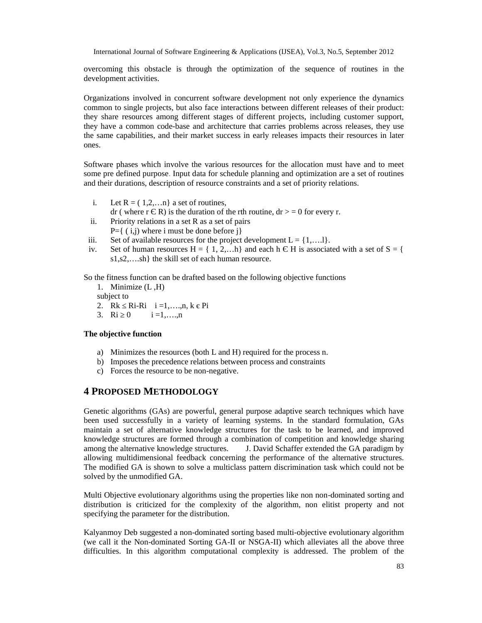overcoming this obstacle is through the optimization of the sequence of routines in the development activities.

Organizations involved in concurrent software development not only experience the dynamics common to single projects, but also face interactions between different releases of their product: they share resources among different stages of different projects, including customer support, they have a common code-base and architecture that carries problems across releases, they use the same capabilities, and their market success in early releases impacts their resources in later ones.

Software phases which involve the various resources for the allocation must have and to meet some pre defined purpose. Input data for schedule planning and optimization are a set of routines and their durations, description of resource constraints and a set of priority relations.

- i. Let  $R = (1,2,...n)$  a set of routines,
	- dr ( where r  $\overline{R}$ ) is the duration of the rth routine, dr  $> = 0$  for every r.
- ii. Priority relations in a set R as a set of pairs
- $P=\{(i,i)$  where i must be done before j
- iii. Set of available resources for the project development  $L = \{1,....1\}$ .
- iv. Set of human resources  $H = \{1, 2,...h\}$  and each h H is associated with a set of  $S = \{$ s1,s2,….sh} the skill set of each human resource.

So the fitness function can be drafted based on the following objective functions

1. Minimize (L ,H) subject to 2. Rk Ri-Ri  $i = 1, ..., n, k$  Pi<br>3. Ri 0  $i = 1, ..., n$  $i = 1, \ldots, n$ 

#### **The objective function**

- a) Minimizes the resources (both L and H) required for the process n.
- b) Imposes the precedence relations between process and constraints
- c) Forces the resource to be non-negative.

### **4 PROPOSED METHODOLOGY**

Genetic algorithms (GAs) are powerful, general purpose adaptive search techniques which have been used successfully in a variety of learning systems. In the standard formulation, GAs maintain a set of alternative knowledge structures for the task to be learned, and improved knowledge structures are formed through a combination of competition and knowledge sharing among the alternative knowledge structures. J. David Schaffer extended the GA paradigm by allowing multidimensional feedback concerning the performance of the alternative structures. The modified GA is shown to solve a multiclass pattern discrimination task which could not be solved by the unmodified GA.

Multi Objective evolutionary algorithms using the properties like non non-dominated sorting and distribution is criticized for the complexity of the algorithm, non elitist property and not specifying the parameter for the distribution.

Kalyanmoy Deb suggested a non-dominated sorting based multi-objective evolutionary algorithm (we call it the Non-dominated Sorting GA-II or NSGA-II) which alleviates all the above three difficulties. In this algorithm computational complexity is addressed. The problem of the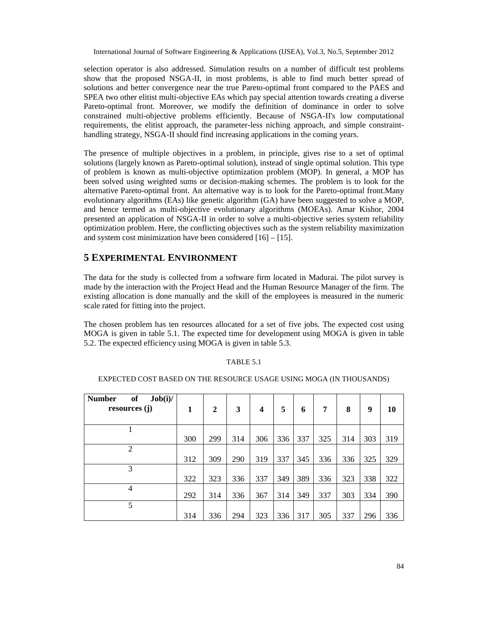selection operator is also addressed. Simulation results on a number of difficult test problems show that the proposed NSGA-II, in most problems, is able to find much better spread of solutions and better convergence near the true Pareto-optimal front compared to the PAES and SPEA two other elitist multi-objective EAs which pay special attention towards creating a diverse Pareto-optimal front. Moreover, we modify the definition of dominance in order to solve constrained multi-objective problems efficiently. Because of NSGA-II's low computational requirements, the elitist approach, the parameter-less niching approach, and simple constrainthandling strategy, NSGA-II should find increasing applications in the coming years.

The presence of multiple objectives in a problem, in principle, gives rise to a set of optimal solutions (largely known as Pareto-optimal solution), instead of single optimal solution. This type of problem is known as multi-objective optimization problem (MOP). In general, a MOP has been solved using weighted sums or decision-making schemes. The problem is to look for the alternative Pareto-optimal front. An alternative way is to look for the Pareto-optimal front.Many evolutionary algorithms (EAs) like genetic algorithm (GA) have been suggested to solve a MOP, and hence termed as multi-objective evolutionary algorithms (MOEAs). Amar Kishor, 2004 presented an application of NSGA-II in order to solve a multi-objective series system reliability optimization problem. Here, the conflicting objectives such as the system reliability maximization and system cost minimization have been considered  $[16] - [15]$ .

## **5 EXPERIMENTAL ENVIRONMENT**

The data for the study is collected from a software firm located in Madurai. The pilot survey is made by the interaction with the Project Head and the Human Resource Manager of the firm. The existing allocation is done manually and the skill of the employees is measured in the numeric scale rated for fitting into the project.

The chosen problem has ten resources allocated for a set of five jobs. The expected cost using MOGA is given in table 5.1. The expected time for development using MOGA is given in table 5.2. The expected efficiency using MOGA is given in table 5.3.

#### TABLE 5.1

#### EXPECTED COST BASED ON THE RESOURCE USAGE USING MOGA (IN THOUSANDS)

| of<br><b>Number</b><br>Job(i)/<br>resources (j) | 1   | $\overline{2}$ | 3   | 4   | 5   | 6   | 7   | 8   | 9   | 10  |
|-------------------------------------------------|-----|----------------|-----|-----|-----|-----|-----|-----|-----|-----|
| 1                                               | 300 | 299            | 314 | 306 | 336 | 337 | 325 | 314 | 303 | 319 |
| $\overline{2}$                                  | 312 | 309            | 290 | 319 | 337 | 345 | 336 | 336 | 325 | 329 |
| 3                                               | 322 | 323            | 336 | 337 | 349 | 389 | 336 | 323 | 338 | 322 |
| 4                                               | 292 | 314            | 336 | 367 | 314 | 349 | 337 | 303 | 334 | 390 |
| 5                                               | 314 | 336            | 294 | 323 | 336 | 317 | 305 | 337 | 296 | 336 |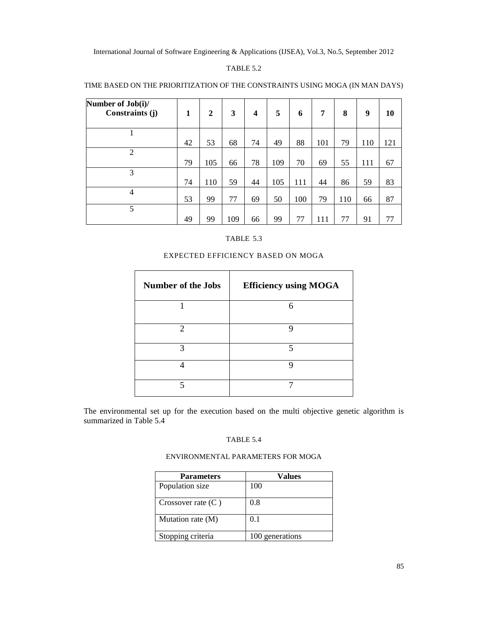#### TABLE 5.2

| Number of Job(i)/<br>Constraints (j) | 1  | $\boldsymbol{2}$ | 3   | 4  | 5   | 6   | 7   | 8   | 9   | 10  |
|--------------------------------------|----|------------------|-----|----|-----|-----|-----|-----|-----|-----|
|                                      | 42 | 53               | 68  | 74 | 49  | 88  | 101 | 79  | 110 | 121 |
| $\overline{c}$                       | 79 | 105              | 66  | 78 | 109 | 70  | 69  | 55  | 111 | 67  |
| 3                                    | 74 | 110              | 59  | 44 | 105 | 111 | 44  | 86  | 59  | 83  |
| 4                                    | 53 | 99               | 77  | 69 | 50  | 100 | 79  | 110 | 66  | 87  |
| 5                                    | 49 | 99               | 109 | 66 | 99  | 77  | 111 | 77  | 91  | 77  |

#### TIME BASED ON THE PRIORITIZATION OF THE CONSTRAINTS USING MOGA (IN MAN DAYS)

#### TABLE 5.3

#### EXPECTED EFFICIENCY BASED ON MOGA

| <b>Number of the Jobs</b> | <b>Efficiency using MOGA</b> |
|---------------------------|------------------------------|
|                           | 6                            |
| ↑                         | 0                            |
| 2                         | 5                            |
|                           | Ω                            |
|                           |                              |

The environmental set up for the execution based on the multi objective genetic algorithm is summarized in Table 5.4

#### TABLE 5.4

#### ENVIRONMENTAL PARAMETERS FOR MOGA

| <b>Parameters</b>    | Values          |
|----------------------|-----------------|
| Population size      | 100             |
| Crossover rate $(C)$ | 0.8             |
| Mutation rate (M)    | 0.1             |
| Stopping criteria    | 100 generations |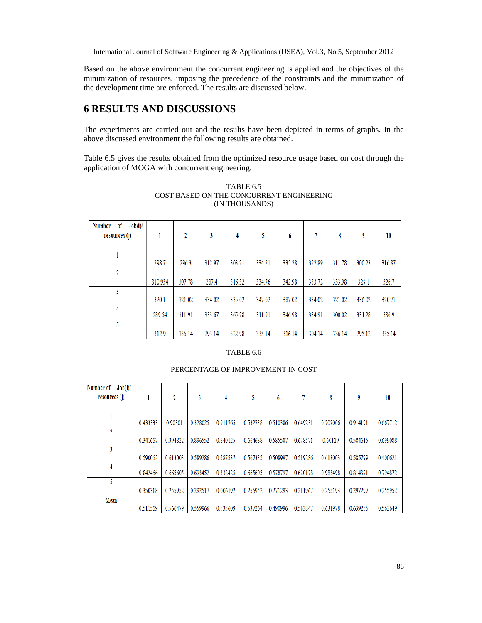Based on the above environment the concurrent engineering is applied and the objectives of the minimization of resources, imposing the precedence of the constraints and the minimization of the development time are enforced. The results are discussed below.

## **6 RESULTS AND DISCUSSIONS**

The experiments are carried out and the results have been depicted in terms of graphs. In the above discussed environment the following results are obtained.

Table 6.5 gives the results obtained from the optimized resource usage based on cost through the application of MOGA with concurrent engineering.

| Number<br>$\mathrm{Job}(\mathbf{i})$<br>0ſ<br>resources (j) | 1       | 2      | 3      | 4      | 5      | 6      | 7      | 8      | 9      | 10     |
|-------------------------------------------------------------|---------|--------|--------|--------|--------|--------|--------|--------|--------|--------|
|                                                             | 298.7   | 296.3  | 312.97 | 303.21 | 334.21 | 335.28 | 322.89 | 311.78 | 300.23 | 316.87 |
| 2                                                           | 310.934 | 307.78 | 287.4  | 316.32 | 334.76 | 342.98 | 333.72 | 333.98 | 323.1  | 326.7  |
|                                                             | 320.1   | 321.02 | 334.02 | 335.02 | 347.02 | 387.02 | 334.02 | 321.02 | 336.02 | 320.71 |
|                                                             | 289.54  | 311.91 | 333.67 | 365.78 | 311.91 | 346.98 | 334.91 | 300.02 | 331.28 | 386.9  |
| ς                                                           | 312.9   | 335.14 | 293.14 | 322.98 | 335.14 | 316.14 | 304.14 | 336.14 | 295.12 | 335.14 |

#### TABLE 6.5 COST BASED ON THE CONCURRENT ENGINEERING (IN THOUSANDS)

#### TABLE 6.6

#### Number of Job(i)/ resources (j)  $\overline{\mathbf{5}}$  $\overline{7}$ 9  $\mathbf 1$  $\overline{2}$  $\mathbf{3}$  $\overline{4}$  $\boldsymbol{6}$ 8  $10$  $\mathbf{1}$ 0.510386 0.328025 0.911765 0.914191 0.667712 0.433333 0.90301 0.532738 0.649231 0.707006  $\overline{2}$ 0.341667 0.394822 0.896552 0.840125 0.664688 0.585507 0.678571 0.60119 0.584615 0.699088  $\overline{\mathbf{3}}$ 0.590062 0.613003 0.589286 0.587537 0.567335 0.508997 0.589286 0.613003 0.585799 0.400621 4 0.842466 0.665605 0.693452 0.332425 0.665605 0.578797 0.620178 0.983498 0.794872 0.814371 5 0.350318 0.255952 0.292517 0.006192 0.255952 0.271293 0.281967 0.255193 0.297297 0.255952 Mean 0.559966 0.490996 0.511569 0.566479 0.535609 0.537264 0.563847 0.631978 0.639255 0.563649

#### PERCENTAGE OF IMPROVEMENT IN COST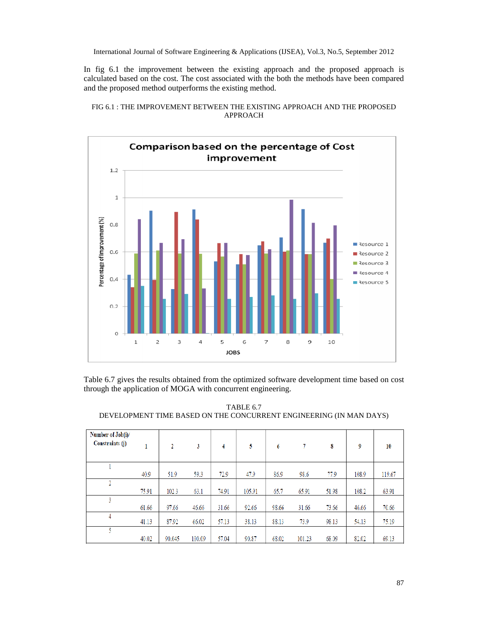In fig 6.1 the improvement between the existing approach and the proposed approach is calculated based on the cost. The cost associated with the both the methods have been compared and the proposed method outperforms the existing method.





Table 6.7 gives the results obtained from the optimized software development time based on cost through the application of MOGA with concurrent engineering.

TABLE 6.7 DEVELOPMENT TIME BASED ON THE CONCURRENT ENGINEERING (IN MAN DAYS)

| Number of Job(i)/<br><b>Constraints</b> (j) | 1     | 2      | 3      | 4     | 5      | 6     |        | 8     | 9     | 10     |
|---------------------------------------------|-------|--------|--------|-------|--------|-------|--------|-------|-------|--------|
|                                             |       |        |        |       |        |       |        |       |       |        |
|                                             | 40.9  | 51.9   | 59.3   | 72.9  | 47.9   | 86.9  | 98.6   | 77.9  | 108.9 | 119.67 |
| 2                                           |       |        |        |       |        |       |        |       |       |        |
|                                             | 75.91 | 102.3  | 63.1   | 74.91 | 105.91 | 65.7  | 65.91  | 51.98 | 108.2 | 63.91  |
| 3                                           |       |        |        |       |        |       |        |       |       |        |
|                                             | 61.66 | 97.66  | 46.66  | 31.66 | 92.66  | 98.66 | 31.66  | 73.66 | 46.66 | 70.66  |
| 4                                           | 41.13 | 87.92  | 66.02  | 57.13 | 38.13  | 88.13 | 73.9   | 98.13 | 54.13 | 75.19  |
| 5.                                          |       |        |        |       |        |       |        |       |       |        |
|                                             | 40.02 | 90.045 | 100.09 | 57.04 | 90.87  | 68.02 | 101.23 | 68.09 | 82.02 | 69.13  |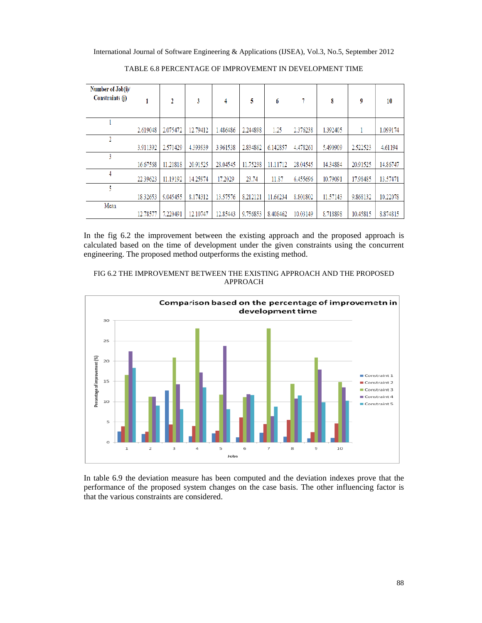International Journal of Software Engineering & Applications (IJSEA), Vol.3, No.5, September 2012 ial Journal of Software Engineering & Applications (IJSEA), Vol.3, No.5, Septer<br>TABLE 6.8 PERCENTAGE OF IMPROVEMENT IN DEVELOPMENT TIME

| Number of Job(i)/<br>Constraints (j) |          | 2        | 3        | 4        | 5        | 6        |          | 8        | 9        | 10       |
|--------------------------------------|----------|----------|----------|----------|----------|----------|----------|----------|----------|----------|
|                                      |          |          |          |          |          |          |          |          |          |          |
|                                      | 2.619048 | 2.075472 | 12.79412 | 1.486486 | 2.244898 | 1.25     | 2.376238 | 1.392405 |          | 1.099174 |
|                                      |          |          |          |          |          |          |          |          |          |          |
|                                      | 3.911392 | 2.571429 | 4.393939 | 3.961538 | 2.834862 | 6.142857 | 4.478261 | 5.490909 | 2.522523 | 4.61194  |
|                                      |          |          |          |          |          |          |          |          |          |          |
|                                      | 16.67568 | 11.21818 | 20.91525 | 28.04545 | 11.75238 | 11.11712 | 28.04545 | 14.34884 | 20.91525 | 14.86747 |
|                                      | 22.39623 | 11.19192 | 14.25974 | 17.2029  | 23.74    | 11.87    | 6.455696 | 10.79091 | 17.98485 | 13.57471 |
| 4                                    |          |          |          |          |          |          |          |          |          |          |
|                                      | 18.32653 | 9.045455 | 8.174312 | 13.57576 | 8.212121 | 11.66234 | 8.801802 | 11.57143 | 9.868132 | 10.22078 |
| Mean                                 |          |          |          |          |          |          |          |          |          |          |
|                                      | 12.78577 | 7.220491 | 12.10747 | 12.85443 | 9.756853 | 8.408462 | 10.03149 | 8.718898 | 10.45815 | 8.874815 |

In the fig 6.2 the improvement between the existing approach and the proposed approach is calculated based on the time of development under the given constraints using the concurrent calculated based on the time of development under the given con<br>engineering. The proposed method outperforms the existing method.





In table 6.9 the deviation measure has been computed and the deviation indexes prove that the performance of the proposed system changes on the case basis. The other influencing factor is that the various constraints are considered.